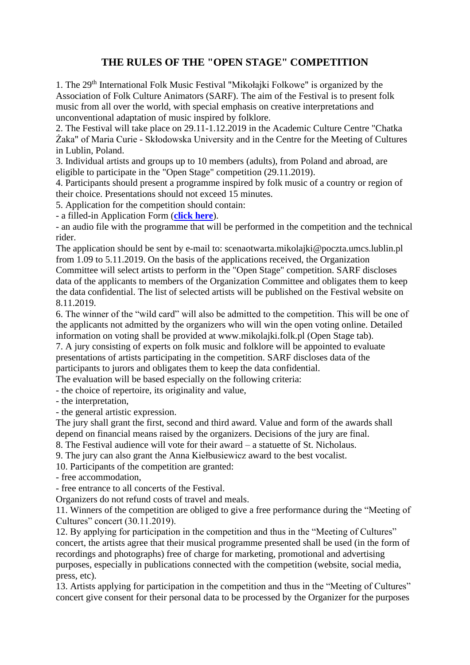## **THE RULES OF THE "OPEN STAGE" COMPETITION**

1. The 29<sup>th</sup> International Folk Music Festival "Mikołajki Folkowe" is organized by the Association of Folk Culture Animators (SARF). The aim of the Festival is to present folk music from all over the world, with special emphasis on creative interpretations and unconventional adaptation of music inspired by folklore.

2. The Festival will take place on 29.11-1.12.2019 in the Academic Culture Centre "Chatka Żaka" of Maria Curie - Skłodowska University and in the Centre for the Meeting of Cultures in Lublin, Poland.

3. Individual artists and groups up to 10 members (adults), from Poland and abroad, are eligible to participate in the "Open Stage" competition (29.11.2019).

4. Participants should present a programme inspired by folk music of a country or region of their choice. Presentations should not exceed 15 minutes.

5. Application for the competition should contain:

- a filled-in Application Form (**[click here](https://docs.google.com/forms/d/e/1FAIpQLSeZr2eXMgBMEBoN1kCdUccQ3o43mFadx0BNA-ql8ebo26GxTQ/viewform?usp=sf_link)**).

- an audio file with the programme that will be performed in the competition and the technical rider.

The application should be sent by e-mail to: scenaotwarta.mikolajki@poczta.umcs.lublin.pl from 1.09 to 5.11.2019. On the basis of the applications received, the Organization Committee will select artists to perform in the "Open Stage" competition. SARF discloses data of the applicants to members of the Organization Committee and obligates them to keep the data confidential. The list of selected artists will be published on the Festival website on 8.11.2019.

6. The winner of the "wild card" will also be admitted to the competition. This will be one of the applicants not admitted by the organizers who will win the open voting online. Detailed information on voting shall be provided at www.mikolajki.folk.pl (Open Stage tab).

7. A jury consisting of experts on folk music and folklore will be appointed to evaluate presentations of artists participating in the competition. SARF discloses data of the participants to jurors and obligates them to keep the data confidential.

The evaluation will be based especially on the following criteria:

- the choice of repertoire, its originality and value,

- the interpretation,

- the general artistic expression.

The jury shall grant the first, second and third award. Value and form of the awards shall depend on financial means raised by the organizers. Decisions of the jury are final.

8. The Festival audience will vote for their award – a statuette of St. Nicholaus.

9. The jury can also grant the Anna Kiełbusiewicz award to the best vocalist.

10. Participants of the competition are granted:

- free accommodation,

- free entrance to all concerts of the Festival.

Organizers do not refund costs of travel and meals.

11. Winners of the competition are obliged to give a free performance during the "Meeting of Cultures" concert (30.11.2019).

12. By applying for participation in the competition and thus in the "Meeting of Cultures" concert, the artists agree that their musical programme presented shall be used (in the form of recordings and photographs) free of charge for marketing, promotional and advertising purposes, especially in publications connected with the competition (website, social media, press, etc).

13. Artists applying for participation in the competition and thus in the "Meeting of Cultures" concert give consent for their personal data to be processed by the Organizer for the purposes